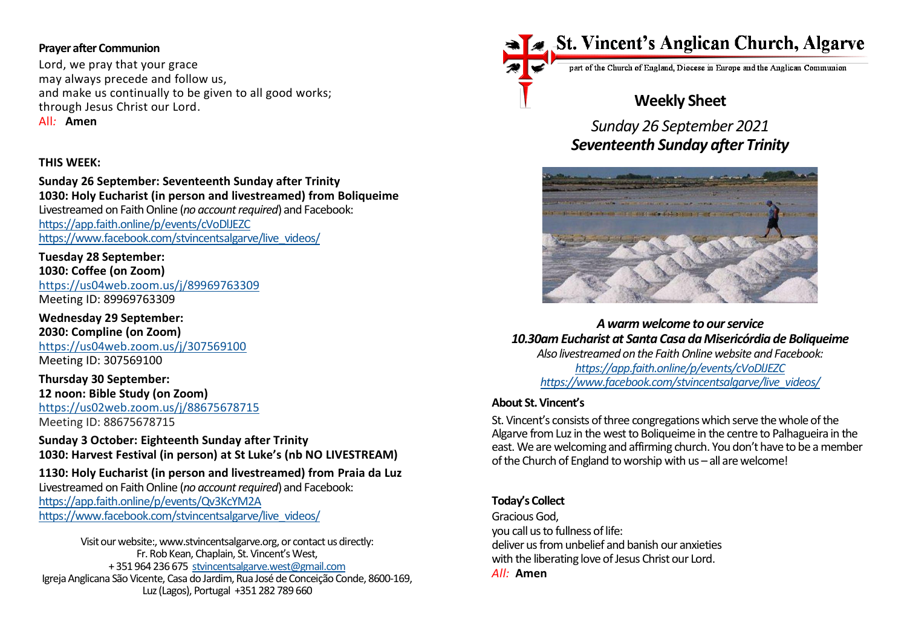### **Prayer after Communion**

Lord, we pray that your grace may always precede and follow us, and make us continually to be given to all good works; through Jesus Christ our Lord. All*:* **Amen**

# **THIS WEEK:**

**Sunday 26 September: Seventeenth Sunday after Trinity 1030: Holy Eucharist (in person and livestreamed) from Boliqueime**  Livestreamed on Faith Online (*no account required*) and Facebook: https://app.faith.online/p/events/cVoDlJEZC [https://www.facebook.com/stvincentsalgarve/live\\_videos/](https://www.facebook.com/stvincentsalgarve/live_videos/)

**Tuesday 28 September: 1030: Coffee (on Zoom)** <https://us04web.zoom.us/j/89969763309> Meeting ID: 89969763309

**Wednesday 29 September: 2030: Compline (on Zoom)** <https://us04web.zoom.us/j/307569100> Meeting ID: 307569100

**Thursday 30 September: 12 noon: Bible Study (on Zoom)** <https://us02web.zoom.us/j/88675678715>

Meeting ID: 88675678715

**Sunday 3 October: Eighteenth Sunday after Trinity 1030: Harvest Festival (in person) at St Luke's (nb NO LIVESTREAM)**

**1130: Holy Eucharist (in person and livestreamed) from Praia da Luz** Livestreamed on Faith Online (*no account required*) and Facebook: https://app.faith.online/p/events/Qv3KcYM2A [https://www.facebook.com/stvincentsalgarve/live\\_videos/](https://www.facebook.com/stvincentsalgarve/live_videos/)

Visit our website:, www.stvincentsalgarve.org, or contact us directly: Fr. Rob Kean, Chaplain, St. Vincent's West, + 351 964 236 675 [stvincentsalgarve.west@gmail.com](mailto:stvincentsalgarve.west@gmail.com) Igreja Anglicana São Vicente, Casa do Jardim, Rua José de Conceição Conde, 8600-169, Luz (Lagos), Portugal +351 282 789 660



part of the Church of England, Diocese in Europe and the Anglican Communion

# **Weekly Sheet**

*Sunday 26 September 2021 Seventeenth Sunday after Trinity*



*A warm welcome to our service 10.30am Eucharist at Santa Casa da Misericórdia de Boliqueime Also livestreamed on the Faith Online website and Facebook: https://app.faith.online/p/events/cVoDlJEZC [https://www.facebook.com/stvincentsalgarve/live\\_videos/](https://www.facebook.com/stvincentsalgarve/live_videos/)*

#### **About St. Vincent's**

St. Vincent's consists of three congregations which serve the whole of the Algarve from Luz in the west to Boliqueime in the centre to Palhagueira in the east. We are welcoming and affirming church. You don't have to be a member of the Church of England to worship with us – all are welcome!

#### **Today's Collect**

Gracious God, you call us to fullness of life: deliver us from unbelief and banish our anxieties with the liberating love of Jesus Christ our Lord. *All:* **Amen**